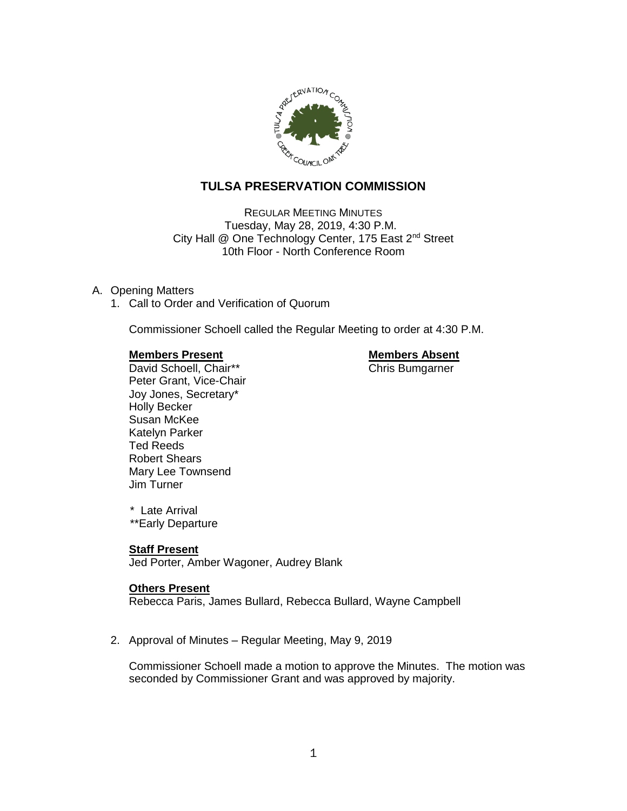

# **TULSA PRESERVATION COMMISSION**

REGULAR MEETING MINUTES Tuesday, May 28, 2019, 4:30 P.M. City Hall @ One Technology Center, 175 East 2<sup>nd</sup> Street 10th Floor - North Conference Room

# A. Opening Matters

1. Call to Order and Verification of Quorum

Commissioner Schoell called the Regular Meeting to order at 4:30 P.M.

# **Members Present Communist Communist Present Communist Present**

David Schoell, Chair\*\* Chris Bumgarner Peter Grant, Vice-Chair Joy Jones, Secretary\* Holly Becker Susan McKee Katelyn Parker Ted Reeds Robert Shears Mary Lee Townsend Jim Turner

 \* Late Arrival \*\*Early Departure

# **Staff Present**

Jed Porter, Amber Wagoner, Audrey Blank

# **Others Present**

Rebecca Paris, James Bullard, Rebecca Bullard, Wayne Campbell

2. Approval of Minutes – Regular Meeting, May 9, 2019

Commissioner Schoell made a motion to approve the Minutes. The motion was seconded by Commissioner Grant and was approved by majority.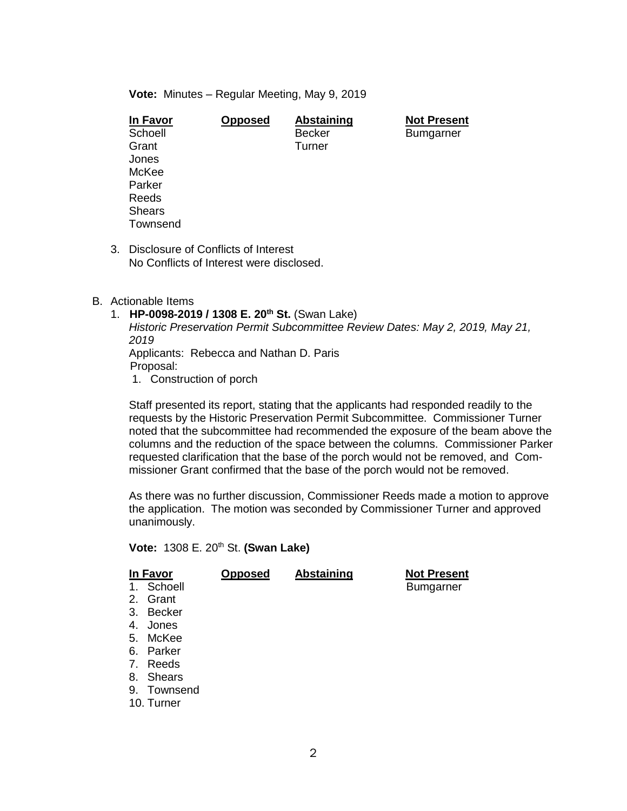**Vote:** Minutes – Regular Meeting, May 9, 2019

| <b>Opposed</b> | Abstaining    | <b>Not Present</b> |
|----------------|---------------|--------------------|
|                | <b>Becker</b> | <b>Bumgarner</b>   |
|                | Turner        |                    |
|                |               |                    |
|                |               |                    |
|                |               |                    |
|                |               |                    |
|                |               |                    |
|                |               |                    |
|                |               |                    |

3. Disclosure of Conflicts of Interest No Conflicts of Interest were disclosed.

# B. Actionable Items

- 1. **HP-0098-2019 / 1308 E. 20th St.** (Swan Lake) *Historic Preservation Permit Subcommittee Review Dates: May 2, 2019, May 21, 2019* Applicants: Rebecca and Nathan D. Paris Proposal:
	- 1. Construction of porch

Staff presented its report, stating that the applicants had responded readily to the requests by the Historic Preservation Permit Subcommittee. Commissioner Turner noted that the subcommittee had recommended the exposure of the beam above the columns and the reduction of the space between the columns. Commissioner Parker requested clarification that the base of the porch would not be removed, and Commissioner Grant confirmed that the base of the porch would not be removed.

As there was no further discussion, Commissioner Reeds made a motion to approve the application. The motion was seconded by Commissioner Turner and approved unanimously.

**Vote:** 1308 E. 20th St. **(Swan Lake)**

| In Favor    | <b>Opposed</b> | <b>Abstaining</b> | <b>Not Present</b> |
|-------------|----------------|-------------------|--------------------|
| 1. Schoell  |                |                   | <b>Bumgarner</b>   |
| 2. Grant    |                |                   |                    |
| 3. Becker   |                |                   |                    |
| 4. Jones    |                |                   |                    |
| 5. McKee    |                |                   |                    |
| 6. Parker   |                |                   |                    |
| 7. Reeds    |                |                   |                    |
| 8. Shears   |                |                   |                    |
| 9. Townsend |                |                   |                    |
| 10. Turner  |                |                   |                    |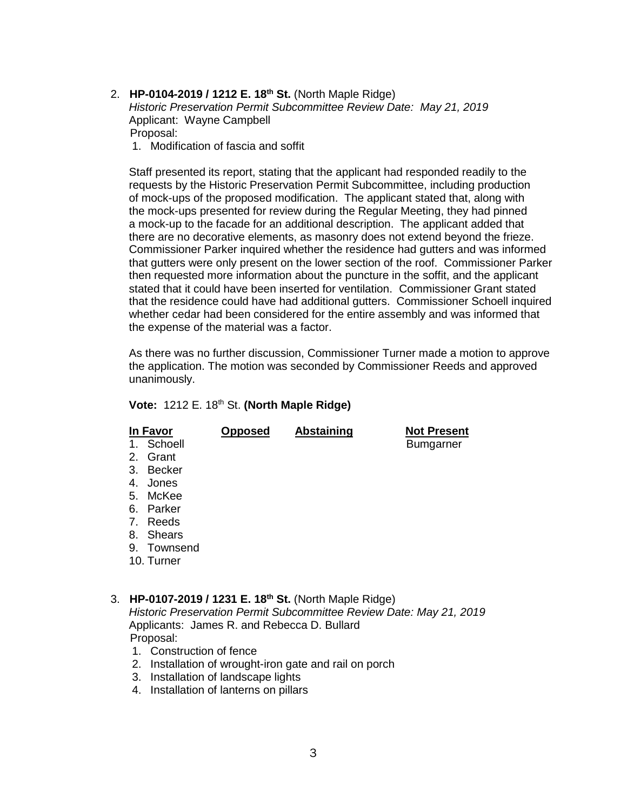2. **HP-0104-2019 / 1212 E. 18th St.** (North Maple Ridge) *Historic Preservation Permit Subcommittee Review Date: May 21, 2019* Applicant: Wayne Campbell Proposal:

1. Modification of fascia and soffit

Staff presented its report, stating that the applicant had responded readily to the requests by the Historic Preservation Permit Subcommittee, including production of mock-ups of the proposed modification. The applicant stated that, along with the mock-ups presented for review during the Regular Meeting, they had pinned a mock-up to the facade for an additional description. The applicant added that there are no decorative elements, as masonry does not extend beyond the frieze. Commissioner Parker inquired whether the residence had gutters and was informed that gutters were only present on the lower section of the roof. Commissioner Parker then requested more information about the puncture in the soffit, and the applicant stated that it could have been inserted for ventilation. Commissioner Grant stated that the residence could have had additional gutters. Commissioner Schoell inquired whether cedar had been considered for the entire assembly and was informed that the expense of the material was a factor.

As there was no further discussion, Commissioner Turner made a motion to approve the application. The motion was seconded by Commissioner Reeds and approved unanimously.

# **Vote:** 1212 E. 18th St. **(North Maple Ridge)**

|                | In Favor      | <b>Opposed</b> | Abstaining | <b>Not Present</b> |
|----------------|---------------|----------------|------------|--------------------|
| $1_{\cdot}$    | Schoell       |                |            | <b>Bumgarner</b>   |
| 2.             | Grant         |                |            |                    |
| 3.             | <b>Becker</b> |                |            |                    |
| 4.             | Jones         |                |            |                    |
| 5.             | McKee         |                |            |                    |
| 6.             | Parker        |                |            |                    |
| 7 <sub>1</sub> | Reeds         |                |            |                    |
| 8.             | <b>Shears</b> |                |            |                    |
| 9.             | Townsend      |                |            |                    |
|                | 10. Turner    |                |            |                    |

# 3. **HP-0107-2019 / 1231 E. 18th St.** (North Maple Ridge)

*Historic Preservation Permit Subcommittee Review Date: May 21, 2019* Applicants: James R. and Rebecca D. Bullard Proposal:

- 1. Construction of fence
- 2. Installation of wrought-iron gate and rail on porch
- 3. Installation of landscape lights
- 4. Installation of lanterns on pillars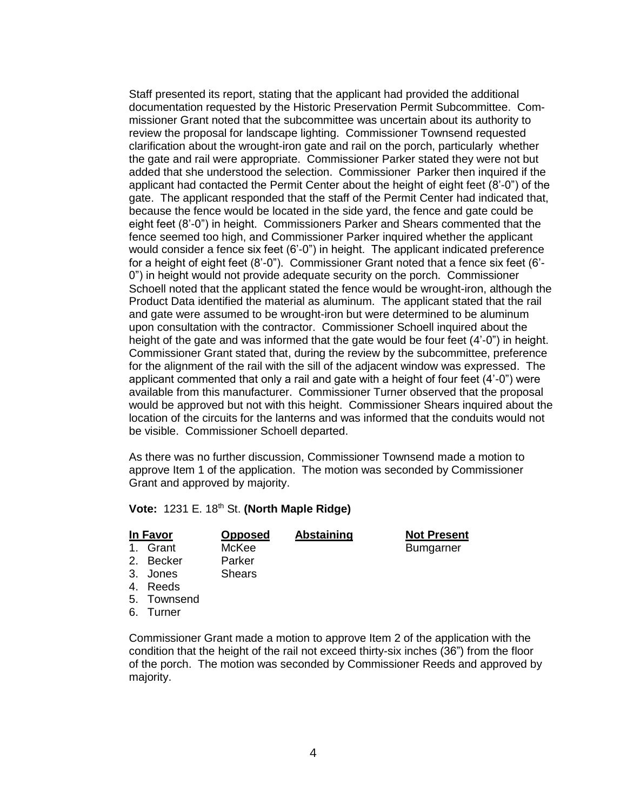Staff presented its report, stating that the applicant had provided the additional documentation requested by the Historic Preservation Permit Subcommittee. Commissioner Grant noted that the subcommittee was uncertain about its authority to review the proposal for landscape lighting. Commissioner Townsend requested clarification about the wrought-iron gate and rail on the porch, particularly whether the gate and rail were appropriate. Commissioner Parker stated they were not but added that she understood the selection. Commissioner Parker then inquired if the applicant had contacted the Permit Center about the height of eight feet (8'-0") of the gate. The applicant responded that the staff of the Permit Center had indicated that, because the fence would be located in the side yard, the fence and gate could be eight feet (8'-0") in height. Commissioners Parker and Shears commented that the fence seemed too high, and Commissioner Parker inquired whether the applicant would consider a fence six feet (6'-0") in height. The applicant indicated preference for a height of eight feet (8'-0"). Commissioner Grant noted that a fence six feet (6'- 0") in height would not provide adequate security on the porch. Commissioner Schoell noted that the applicant stated the fence would be wrought-iron, although the Product Data identified the material as aluminum. The applicant stated that the rail and gate were assumed to be wrought-iron but were determined to be aluminum upon consultation with the contractor. Commissioner Schoell inquired about the height of the gate and was informed that the gate would be four feet (4'-0") in height. Commissioner Grant stated that, during the review by the subcommittee, preference for the alignment of the rail with the sill of the adjacent window was expressed. The applicant commented that only a rail and gate with a height of four feet (4'-0") were available from this manufacturer. Commissioner Turner observed that the proposal would be approved but not with this height. Commissioner Shears inquired about the location of the circuits for the lanterns and was informed that the conduits would not be visible. Commissioner Schoell departed.

As there was no further discussion, Commissioner Townsend made a motion to approve Item 1 of the application. The motion was seconded by Commissioner Grant and approved by majority.

**Vote:** 1231 E. 18th St. **(North Maple Ridge)**

| In Favor    | <b>Opposed</b> | <b>Abstaining</b> | <b>Not Present</b> |  |
|-------------|----------------|-------------------|--------------------|--|
| Grant       | McKee          |                   | <b>Bumgarner</b>   |  |
| 2. Becker   | Parker         |                   |                    |  |
| Jones<br>3. | <b>Shears</b>  |                   |                    |  |
| Reeds       |                |                   |                    |  |

- 5. Townsend
- 6. Turner

Commissioner Grant made a motion to approve Item 2 of the application with the condition that the height of the rail not exceed thirty-six inches (36") from the floor of the porch. The motion was seconded by Commissioner Reeds and approved by majority.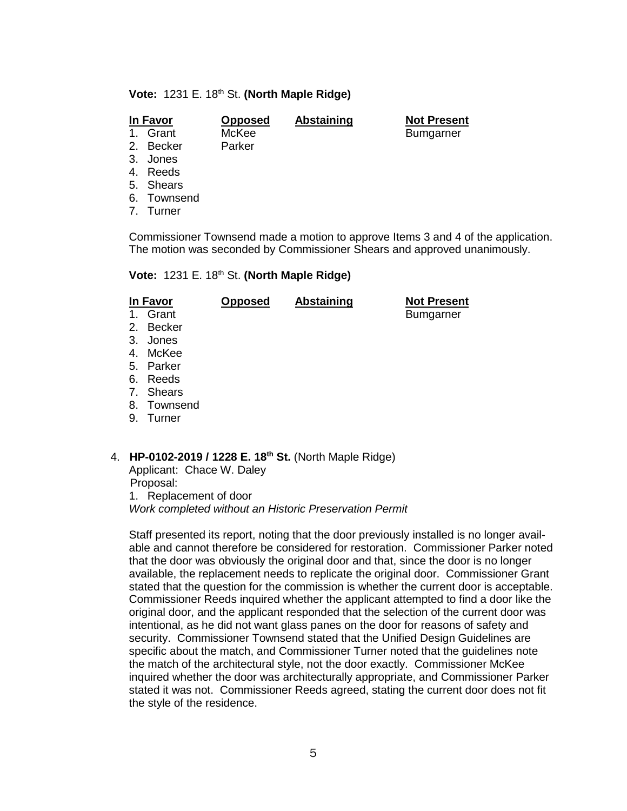#### **Vote: 1231 E. 18th St. (North Maple Ridge)**

### **In Favor Opposed Abstaining Not Present**

1. Grant McKee Bumgarner

- 2. Becker Parker
- 3. Jones
- 4. Reeds
- 5. Shears
- 6. Townsend
- 7. Turner

Commissioner Townsend made a motion to approve Items 3 and 4 of the application. The motion was seconded by Commissioner Shears and approved unanimously.

#### **Vote:** 1231 E. 18th St. **(North Maple Ridge)**

| In Favor<br>1. Grant<br>2. Becker<br>3. Jones<br>4. McKee<br>5. Parker<br>6. Reeds<br>7. Shears | <b>Opposed</b> | <b>Abstaining</b> | <b>Not Present</b><br><b>Bumgarner</b> |
|-------------------------------------------------------------------------------------------------|----------------|-------------------|----------------------------------------|
| 8. Townsend<br>9.<br>Turner                                                                     |                |                   |                                        |
|                                                                                                 |                |                   |                                        |

# 4. **HP-0102-2019 / 1228 E. 18th St.** (North Maple Ridge)

Applicant: Chace W. Daley Proposal: 1. Replacement of door

*Work completed without an Historic Preservation Permit*

Staff presented its report, noting that the door previously installed is no longer available and cannot therefore be considered for restoration. Commissioner Parker noted that the door was obviously the original door and that, since the door is no longer available, the replacement needs to replicate the original door. Commissioner Grant stated that the question for the commission is whether the current door is acceptable. Commissioner Reeds inquired whether the applicant attempted to find a door like the original door, and the applicant responded that the selection of the current door was intentional, as he did not want glass panes on the door for reasons of safety and security. Commissioner Townsend stated that the Unified Design Guidelines are specific about the match, and Commissioner Turner noted that the guidelines note the match of the architectural style, not the door exactly. Commissioner McKee inquired whether the door was architecturally appropriate, and Commissioner Parker stated it was not. Commissioner Reeds agreed, stating the current door does not fit the style of the residence.